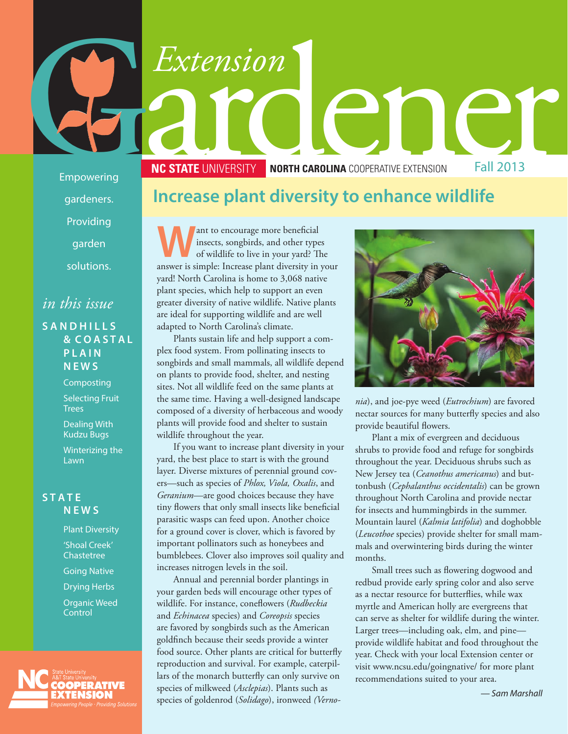# Extension<br>
Exponering<br>
Empowering<br> **Exponering**<br> **Extension**<br> **Extension**<br> **INCITATE UNIVERSITY**<br> **INCESTATE UNIVERSITY**<br> **INCESTATE UNIVERSITY**<br> **INCESTATE UNIVERSITY**<br> **INCESTATE UNIVERSITY**<br> **INCESTATE UNIVERSITY**<br> **INC NC STATE UNIVERSITY NORTH CAROLINA** COOPERATIVE EXTENSION Fall 2013

Empowering gardeners. Providing

garden

solutions.

### *in this issue*

#### **S A N D H I L L S & C O A S T A L P L A I N N E W S**

Composting

Selecting Fruit **Trees** 

Dealing With Kudzu Bugs

Winterizing the **Lawn** 

#### **S T A T E N E W S**

Plant Diversity 'Shoal Creek' **Chastetree** Going Native Drying Herbs Organic Weed **Control** 



#### **Increase plant diversity to enhance wildlife**

**W**ant to encourage more beneficial<br>
of wildlife to live in your yard? The<br>
onewer is simple: Increase plant diversity in you insects, songbirds, and other types answer is simple: Increase plant diversity in your yard! North Carolina is home to 3,068 native plant species, which help to support an even greater diversity of native wildlife. Native plants are ideal for supporting wildlife and are well adapted to North Carolina's climate.

Plants sustain life and help support a complex food system. From pollinating insects to songbirds and small mammals, all wildlife depend on plants to provide food, shelter, and nesting sites. Not all wildlife feed on the same plants at the same time. Having a well-designed landscape composed of a diversity of herbaceous and woody plants will provide food and shelter to sustain wildlife throughout the year.

If you want to increase plant diversity in your yard, the best place to start is with the ground layer. Diverse mixtures of perennial ground covers—such as species of *Phlox, Viola, Oxalis*, and *Geranium*—are good choices because they have tiny flowers that only small insects like beneficial parasitic wasps can feed upon. Another choice for a ground cover is clover, which is favored by important pollinators such as honeybees and bumblebees. Clover also improves soil quality and increases nitrogen levels in the soil.

Annual and perennial border plantings in your garden beds will encourage other types of wildlife. For instance, coneflowers (*Rudbeckia* and *Echinacea* species) and *Coreopsis* species are favored by songbirds such as the American goldfinch because their seeds provide a winter food source. Other plants are critical for butterfly reproduction and survival. For example, caterpillars of the monarch butterfly can only survive on species of milkweed (*Asclepias*). Plants such as species of goldenrod (*Solidago*), ironweed *(Verno-*



*nia*), and joe-pye weed (*Eutrochium*) are favored nectar sources for many butterfly species and also provide beautiful flowers.

Plant a mix of evergreen and deciduous shrubs to provide food and refuge for songbirds throughout the year. Deciduous shrubs such as New Jersey tea (*Ceanothus americanus*) and buttonbush (*Cephalanthus occidentalis*) can be grown throughout North Carolina and provide nectar for insects and hummingbirds in the summer. Mountain laurel (*Kalmia latifolia*) and doghobble (*Leucothoe* species) provide shelter for small mammals and overwintering birds during the winter months.

Small trees such as flowering dogwood and redbud provide early spring color and also serve as a nectar resource for butterflies, while wax myrtle and American holly are evergreens that can serve as shelter for wildlife during the winter. Larger trees—including oak, elm, and pine provide wildlife habitat and food throughout the year. Check with your local Extension center or visit www.ncsu.edu/goingnative/ for more plant recommendations suited to your area.

*— Sam Marshall*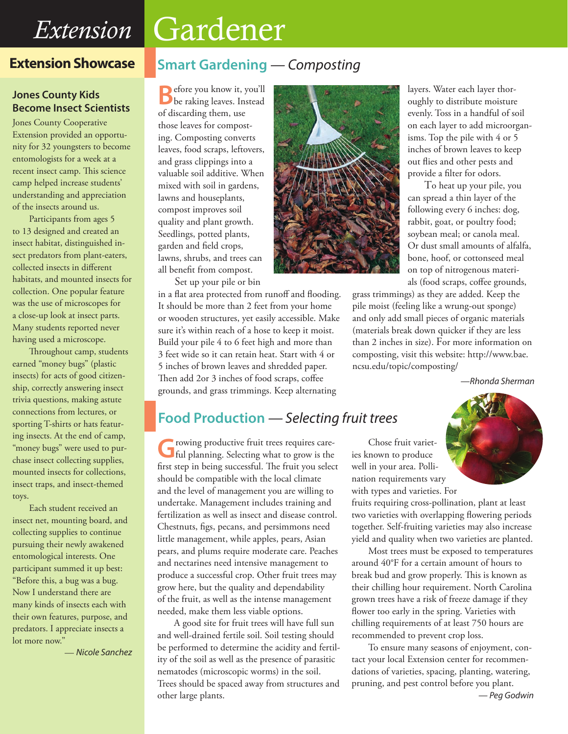## *Extension* Gardener

#### **Extension Showcase**

#### **Jones County Kids Become Insect Scientists**

Jones County Cooperative Extension provided an opportunity for 32 youngsters to become entomologists for a week at a recent insect camp. This science camp helped increase students' understanding and appreciation of the insects around us.

Participants from ages 5 to 13 designed and created an insect habitat, distinguished insect predators from plant-eaters, collected insects in different habitats, and mounted insects for collection. One popular feature was the use of microscopes for a close-up look at insect parts. Many students reported never having used a microscope.

Throughout camp, students earned "money bugs" (plastic insects) for acts of good citizenship, correctly answering insect trivia questions, making astute connections from lectures, or sporting T-shirts or hats featuring insects. At the end of camp, "money bugs" were used to purchase insect collecting supplies, mounted insects for collections, insect traps, and insect-themed toys.

Each student received an insect net, mounting board, and collecting supplies to continue pursuing their newly awakened entomological interests. One participant summed it up best: "Before this, a bug was a bug. Now I understand there are many kinds of insects each with their own features, purpose, and predators. I appreciate insects a lot more now."

— *Nicole Sanchez*

#### **Smart Gardening** *— Composting*

**B**efore you know it, you'll be raking leaves. Instead of discarding them, use those leaves for composting. Composting converts leaves, food scraps, leftovers, and grass clippings into a valuable soil additive. When mixed with soil in gardens, lawns and houseplants, compost improves soil quality and plant growth. Seedlings, potted plants, garden and field crops, lawns, shrubs, and trees can all benefit from compost.

Set up your pile or bin

in a flat area protected from runoff and flooding. It should be more than 2 feet from your home or wooden structures, yet easily accessible. Make sure it's within reach of a hose to keep it moist. Build your pile 4 to 6 feet high and more than 3 feet wide so it can retain heat. Start with 4 or 5 inches of brown leaves and shredded paper. Then add 2or 3 inches of food scraps, coffee grounds, and grass trimmings. Keep alternating



layers. Water each layer thoroughly to distribute moisture evenly. Toss in a handful of soil on each layer to add microorganisms. Top the pile with 4 or 5 inches of brown leaves to keep out flies and other pests and provide a filter for odors.

To heat up your pile, you can spread a thin layer of the following every 6 inches: dog, rabbit, goat, or poultry food; soybean meal; or canola meal. Or dust small amounts of alfalfa, bone, hoof, or cottonseed meal on top of nitrogenous materials (food scraps, coffee grounds,

grass trimmings) as they are added. Keep the pile moist (feeling like a wrung-out sponge) and only add small pieces of organic materials (materials break down quicker if they are less than 2 inches in size). For more information on composting, visit this website: http://www.bae. ncsu.edu/topic/composting/

 *—Rhonda Sherman*

#### **Food Production** *— Selecting fruit trees*

**G**rowing productive fruit trees requires care-ful planning. Selecting what to grow is the first step in being successful. The fruit you select should be compatible with the local climate and the level of management you are willing to undertake. Management includes training and fertilization as well as insect and disease control. Chestnuts, figs, pecans, and persimmons need little management, while apples, pears, Asian pears, and plums require moderate care. Peaches and nectarines need intensive management to produce a successful crop. Other fruit trees may grow here, but the quality and dependability of the fruit, as well as the intense management needed, make them less viable options.

A good site for fruit trees will have full sun and well-drained fertile soil. Soil testing should be performed to determine the acidity and fertility of the soil as well as the presence of parasitic nematodes (microscopic worms) in the soil. Trees should be spaced away from structures and other large plants.

Chose fruit varieties known to produce well in your area. Pollination requirements vary with types and varieties. For

fruits requiring cross-pollination, plant at least two varieties with overlapping flowering periods together. Self-fruiting varieties may also increase yield and quality when two varieties are planted.

Most trees must be exposed to temperatures around 40°F for a certain amount of hours to break bud and grow properly. This is known as their chilling hour requirement. North Carolina grown trees have a risk of freeze damage if they flower too early in the spring. Varieties with chilling requirements of at least 750 hours are recommended to prevent crop loss.

To ensure many seasons of enjoyment, contact your local Extension center for recommendations of varieties, spacing, planting, watering, pruning, and pest control before you plant. *— Peg Godwin*

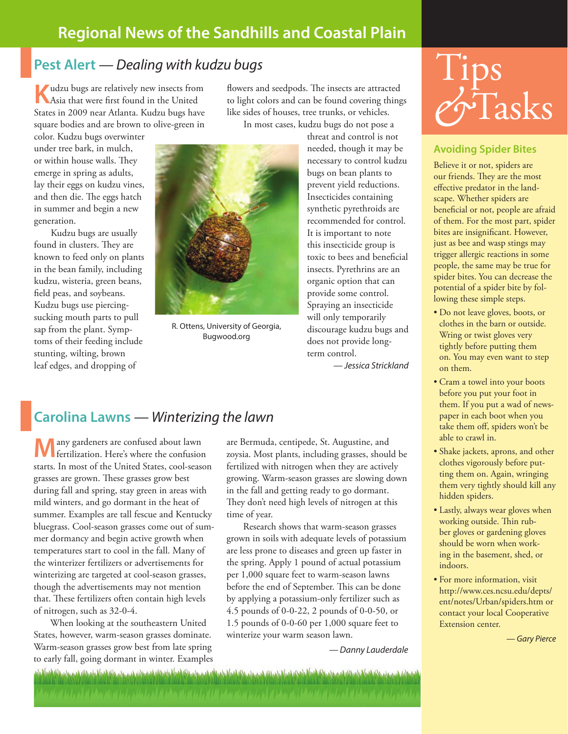#### **Regional News of the Sandhills and Coastal Plain**

#### **Pest Alert** *— Dealing with kudzu bugs*

**K**udzu bugs are relatively new insects from Asia that were first found in the United States in 2009 near Atlanta. Kudzu bugs have square bodies and are brown to olive-green in

flowers and seedpods. The insects are attracted to light colors and can be found covering things like sides of houses, tree trunks, or vehicles. In most cases, kudzu bugs do not pose a

color. Kudzu bugs overwinter under tree bark, in mulch, or within house walls. They emerge in spring as adults, lay their eggs on kudzu vines, and then die. The eggs hatch in summer and begin a new generation.

Kudzu bugs are usually found in clusters. They are known to feed only on plants in the bean family, including kudzu, wisteria, green beans, field peas, and soybeans. Kudzu bugs use piercingsucking mouth parts to pull sap from the plant. Symptoms of their feeding include stunting, wilting, brown leaf edges, and dropping of



R. Ottens, University of Georgia, Bugwood.org

threat and control is not needed, though it may be necessary to control kudzu bugs on bean plants to prevent yield reductions. Insecticides containing synthetic pyrethroids are recommended for control. It is important to note this insecticide group is toxic to bees and beneficial insects. Pyrethrins are an organic option that can provide some control. Spraying an insecticide will only temporarily discourage kudzu bugs and does not provide longterm control.

*— Jessica Strickland*

# Tips *&*Tasks

#### **Avoiding Spider Bites**

Believe it or not, spiders are our friends. They are the most effective predator in the landscape. Whether spiders are beneficial or not, people are afraid of them. For the most part, spider bites are insignificant. However, just as bee and wasp stings may trigger allergic reactions in some people, the same may be true for spider bites. You can decrease the potential of a spider bite by following these simple steps.

- Do not leave gloves, boots, or clothes in the barn or outside. Wring or twist gloves very tightly before putting them on. You may even want to step on them.
- • Cram a towel into your boots before you put your foot in them. If you put a wad of newspaper in each boot when you take them off, spiders won't be able to crawl in.
- Shake jackets, aprons, and other clothes vigorously before putting them on. Again, wringing them very tightly should kill any hidden spiders.
- Lastly, always wear gloves when working outside. Thin rubber gloves or gardening gloves should be worn when working in the basement, shed, or indoors.
- • For more information, visit [http://www.ces.ncsu.edu/depts/](http://www.ces.ncsu.edu/depts/ent/notes/Urban/spiders.htm) [ent/notes/Urban/spiders.htm](http://www.ces.ncsu.edu/depts/ent/notes/Urban/spiders.htm) or contact your local Cooperative Extension center.

*— Gary Pierce*

### **Carolina Lawns** *— Winterizing the lawn*

**M**any gardeners are confused about lawn fertilization. Here's where the confusion starts. In most of the United States, cool-season grasses are grown. These grasses grow best during fall and spring, stay green in areas with mild winters, and go dormant in the heat of summer. Examples are tall fescue and Kentucky bluegrass. Cool-season grasses come out of summer dormancy and begin active growth when temperatures start to cool in the fall. Many of the winterizer fertilizers or advertisements for winterizing are targeted at cool-season grasses, though the advertisements may not mention that. These fertilizers often contain high levels of nitrogen, such as 32-0-4.

When looking at the southeastern United States, however, warm-season grasses dominate. Warm-season grasses grow best from late spring to early fall, going dormant in winter. Examples are Bermuda, centipede, St. Augustine, and zoysia. Most plants, including grasses, should be fertilized with nitrogen when they are actively growing. Warm-season grasses are slowing down in the fall and getting ready to go dormant. They don't need high levels of nitrogen at this time of year.

Research shows that warm-season grasses grown in soils with adequate levels of potassium are less prone to diseases and green up faster in the spring. Apply 1 pound of actual potassium per 1,000 square feet to warm-season lawns before the end of September. This can be done by applying a potassium-only fertilizer such as 4.5 pounds of 0-0-22, 2 pounds of 0-0-50, or 1.5 pounds of 0-0-60 per 1,000 square feet to winterize your warm season lawn.

*— Danny Lauderdale*

denotes announced to describe the service of the service of the service of the service of the service of the service of the service of the service of the service of the service of the service of the service of the service